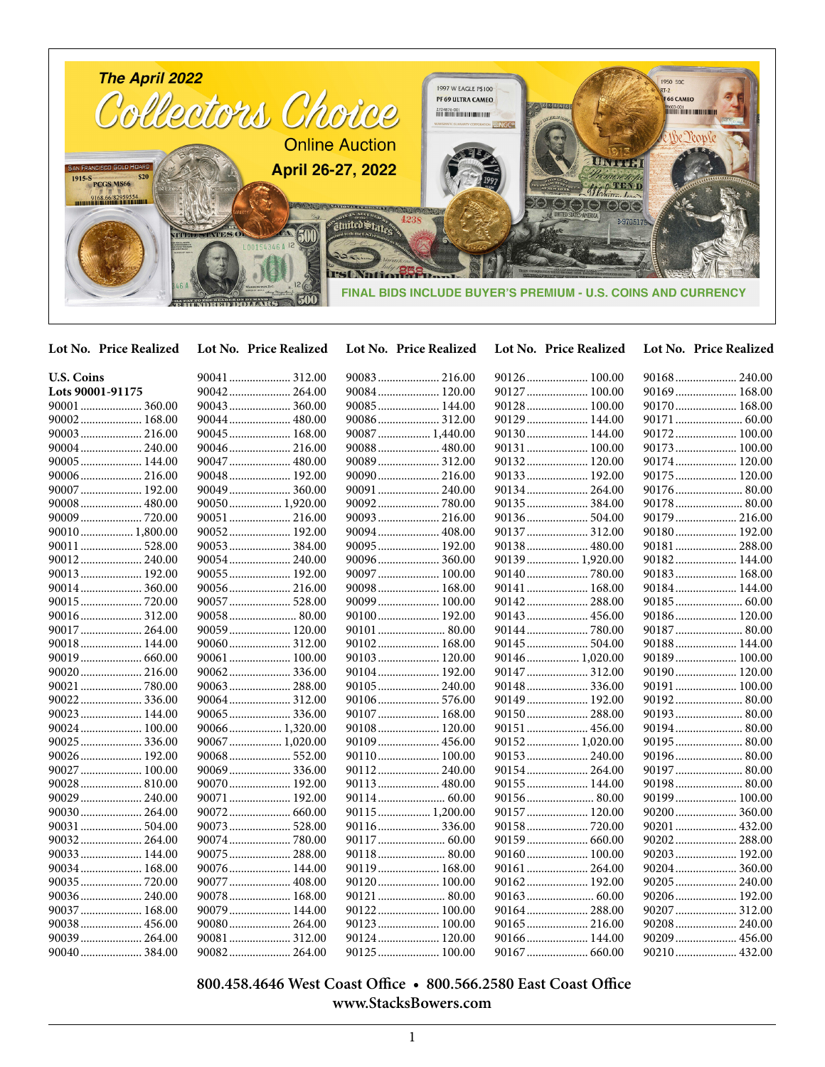

**Lot No. Price Realized Lot No. Price Realized Lot No. Price Realized Lot No. Price Realized Lot No. Price Realized**

| <b>U.S. Coins</b> | 90041  312.00  | 90083 216.00    | 90126 100.00    | 90168 240.00  |
|-------------------|----------------|-----------------|-----------------|---------------|
| Lots 90001-91175  | 90042 264.00   | 90084 120.00    | 90127 100.00    | 90169 168.00  |
|                   | 90043 360.00   | 90085 144.00    | 90128 100.00    | 90170 168.00  |
| 90002 168.00      | 90044 480.00   |                 | 90129 144.00    |               |
| 90003  216.00     | 90045 168.00   | 90087  1,440.00 | 90130 144.00    | 90172 100.00  |
|                   | 90046 216.00   | 90088 480.00    | 90131 100.00    | 90173 100.00  |
| 90005 144.00      | 90047  480.00  | 90089 312.00    | 90132 120.00    | 90174 120.00  |
| 90006 216.00      | 90048 192.00   | 90090 216.00    | 90133 192.00    | 90175 120.00  |
| 90007  192.00     | 90049 360.00   | 90091  240.00   | 90134 264.00    | 90176  80.00  |
| 90008 480.00      | 90050 1,920.00 |                 |                 |               |
|                   | 90051 216.00   |                 | 90136 504.00    | 90179 216.00  |
| 90010  1,800.00   | 90052 192.00   | 90094 408.00    |                 | 90180 192.00  |
| 90011  528.00     |                | 90095 192.00    | 90138 480.00    | 90181  288.00 |
| 90012 240.00      | 90054 240.00   | 90096 360.00    | 90139  1,920.00 | 90182 144.00  |
| 90013 192.00      | 90055 192.00   | 90097 100.00    |                 | 90183 168.00  |
| 90014 360.00      | 90056 216.00   | 90098 168.00    | 90141  168.00   | 90184 144.00  |
|                   | 90057  528.00  | 90099 100.00    | 90142 288.00    |               |
| 90016 312.00      | 90058 80.00    | 90100 192.00    | 90143  456.00   | 90186 120.00  |
| 90017  264.00     | 90059 120.00   |                 |                 | 90187  80.00  |
| 90018 144.00      | 90060 312.00   | 90102 168.00    |                 | 90188 144.00  |
|                   | 90061 100.00   | 90103 120.00    | 90146 1,020.00  | 90189 100.00  |
| 90020 216.00      | 90062336.00    | 90104 192.00    |                 | 90190 120.00  |
| 90021  780.00     |                |                 |                 | 90191  100.00 |
| 90022 336.00      | 90064 312.00   | 90106 576.00    | 90149 192.00    |               |
| 90023 144.00      | 90065 336.00   | 90107 168.00    | 90150 288.00    | 90193 80.00   |
| 90024 100.00      | 90066 1,320.00 | 90108 120.00    | 90151  456.00   | 90194 80.00   |
| 90025  336.00     | 90067 1,020.00 | 90109 456.00    | 90152 1,020.00  |               |
| 90026 192.00      | 90068 552.00   | 90110 100.00    |                 |               |
| 90027  100.00     | 90069336.00    |                 |                 | 90197  80.00  |
| 90028 810.00      | 90070 192.00   | 90113 480.00    | 90155 144.00    | 90198 80.00   |
| 90029  240.00     | 90071  192.00  |                 |                 | 90199 100.00  |
| 90030 264.00      | 90072 660.00   | 90115  1,200.00 | 90157 120.00    | 90200  360.00 |
| 90031  504.00     | 90073 528.00   | 90116 336.00    |                 | 90201  432.00 |
| 90032 264.00      | 90074780.00    |                 |                 | 90202 288.00  |
| 90033 144.00      | 90075 288.00   | 90118 80.00     | 90160 100.00    | 90203 192.00  |
| 90034 168.00      | 90076 144.00   | 90119 168.00    | 90161  264.00   | 90204 360.00  |
|                   | 90077  408.00  | 90120 100.00    |                 |               |
|                   | 90078 168.00   |                 |                 | 90206 192.00  |
| 90037  168.00     | 90079 144.00   | 90122 100.00    | 90164 288.00    | 90207  312.00 |
| 90038 456.00      | 90080 264.00   | 90123 100.00    | 90165  216.00   |               |
| 90039  264.00     | 90081 312.00   | 90124 120.00    | 90166 144.00    | 90209  456.00 |
| 90040  384.00     | 90082 264.00   | 90125  100.00   |                 | 90210 432.00  |

 **800.458.4646 West Coast Office • 800.566.2580 East Coast Office www.StacksBowers.com**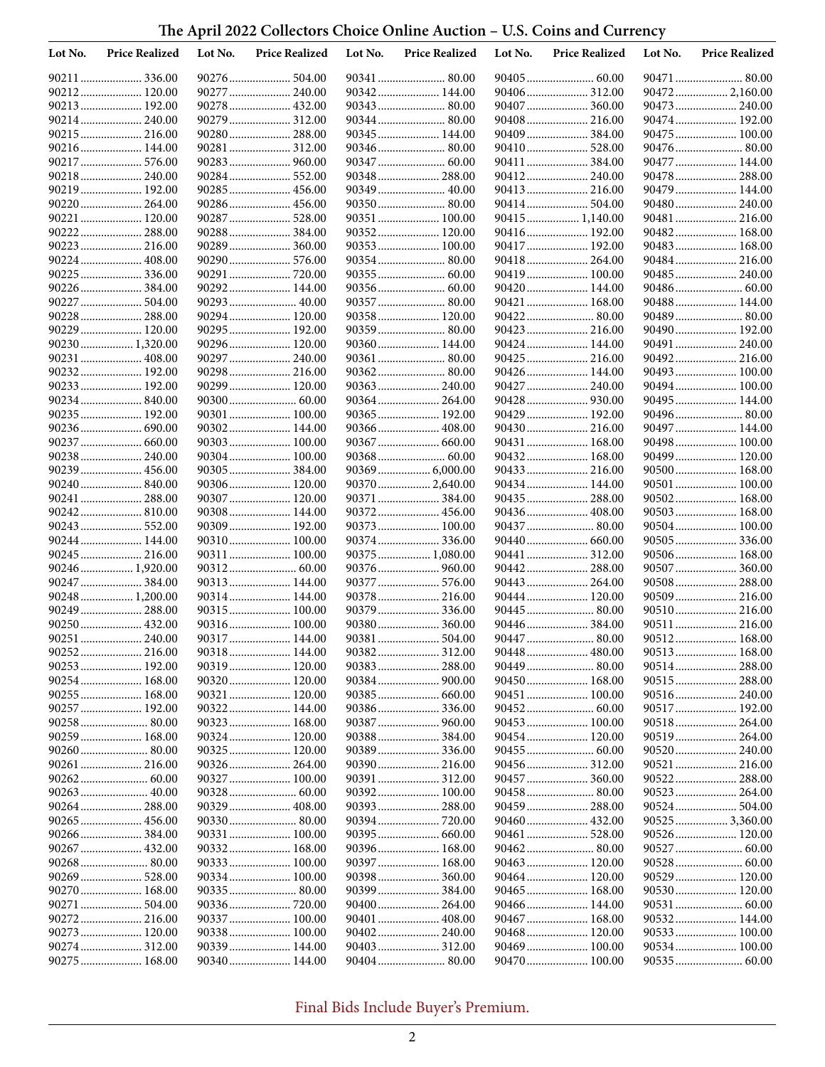## **The April 2022 Collectors Choice Online Auction – U.S. Coins and Currency**

| Lot No. | <b>Price Realized</b>           | Lot No. | <b>Price Realized</b>        | Lot No. | <b>Price Realized</b>          | Lot No. | <b>Price Realized</b>          | Lot No. | <b>Price Realized</b>         |
|---------|---------------------------------|---------|------------------------------|---------|--------------------------------|---------|--------------------------------|---------|-------------------------------|
|         | 90211  336.00                   |         |                              |         |                                |         |                                |         | 90471  80.00                  |
|         | 90212 120.00                    |         | 90277  240.00                |         | 90342 144.00                   |         |                                |         |                               |
|         | 90213  192.00                   |         | 90278 432.00                 |         | 90343  80.00                   |         | 90407  360.00                  |         | 90473  240.00                 |
|         | 90214 240.00                    |         | 90279 312.00                 |         |                                |         | 90408 216.00                   |         |                               |
|         | 90215  216.00                   |         | 90280 288.00                 |         | 90345  144.00                  |         | 90409  384.00                  |         | 90475  100.00                 |
|         | 90216 144.00                    |         | 90281 312.00                 |         | 90346 80.00                    |         | 90410 528.00                   |         | 90476 80.00                   |
|         | 90217  576.00                   |         | 90283 960.00                 |         | 90347  60.00<br>90348 288.00   |         | 90411  384.00<br>90412 240.00  |         | 90477  144.00                 |
|         | 90218 240.00<br>90219  192.00   |         | 90284 552.00<br>90285 456.00 |         |                                |         | 90413 216.00                   |         | 90478 288.00<br>90479  144.00 |
|         | 90220  264.00                   |         | 90286 456.00                 |         | 90350 80.00                    |         | 90414 504.00                   |         | 90480  240.00                 |
|         | 90221  120.00                   |         | 90287  528.00                |         | 90351  100.00                  |         | 90415  1,140.00                |         | 90481  216.00                 |
|         |                                 |         |                              |         | 90352 120.00                   |         | 90416 192.00                   |         | 90482 168.00                  |
|         | 90223  216.00                   |         | 90289 360.00                 |         | 90353 100.00                   |         | 90417 192.00                   |         | 90483 168.00                  |
|         | 90224  408.00                   |         | 90290 576.00                 |         | 90354 80.00                    |         | 90418 264.00                   |         | 90484 216.00                  |
|         | 90225  336.00                   |         |                              |         | 90355  60.00                   |         | 90419  100.00                  |         | 90485  240.00                 |
|         | 90226 384.00                    |         | 90292 144.00                 |         |                                |         | 90420 144.00                   |         |                               |
|         | 90227  504.00                   |         | 90293 40.00                  |         |                                |         | 90421  168.00                  |         | 90488 144.00                  |
|         | 90228  288.00                   |         | 90294 120.00                 |         | 90358 120.00                   |         |                                |         | 90489  80.00                  |
|         | 90229  120.00                   |         | 90295 192.00                 |         |                                |         | 90423  216.00                  |         | 90490 192.00                  |
|         | 90230 1,320.00                  |         | 90296 120.00                 |         | 90360 144.00                   |         | 90424  144.00                  |         | 90491  240.00                 |
|         | 90231  408.00                   |         | 90297  240.00                |         | 90361  80.00                   |         | 90425  216.00                  |         | 90492 216.00                  |
|         | 90232 192.00                    |         | 90298 216.00                 |         | 90362 80.00                    |         | 90426 144.00                   |         | 90493 100.00                  |
|         | 90233 192.00                    |         | 90299 120.00                 |         |                                |         | 90427  240.00                  |         | 90494  100.00                 |
|         | 90234840.00<br>90235  192.00    |         |                              |         | 90364  264.00<br>90365  192.00 |         | 90428  930.00                  |         | 90495  144.00                 |
|         | 90236 690.00                    |         | 90301 100.00<br>90302 144.00 |         | 90366  408.00                  |         | 90429  192.00<br>90430  216.00 |         | 90497  144.00                 |
|         |                                 |         | 90303 100.00                 |         |                                |         | 90431  168.00                  |         | 90498 100.00                  |
|         | 90238 240.00                    |         | 90304 100.00                 |         |                                |         | 90432 168.00                   |         | 90499 120.00                  |
|         | 90239  456.00                   |         | 90305384.00                  |         |                                |         | 90433 216.00                   |         | 90500  168.00                 |
|         | 90240 840.00                    |         | 90306 120.00                 |         | 90370  2,640.00                |         | 90434 144.00                   |         | 90501  100.00                 |
|         | 90241  288.00                   |         | 90307 120.00                 |         | 90371  384.00                  |         | 90435  288.00                  |         | 90502 168.00                  |
|         | 90242 810.00                    |         | 90308 144.00                 |         |                                |         | 90436 408.00                   |         | 90503 168.00                  |
|         | 90243  552.00                   |         | 90309 192.00                 |         | 90373 100.00                   |         | 90437  80.00                   |         | 90504 100.00                  |
|         | 90244  144.00                   |         | 90310 100.00                 |         |                                |         |                                |         |                               |
|         | 90245  216.00                   |         | 90311 100.00                 |         | 90375  1,080.00                |         | 90441  312.00                  |         | 90506 168.00                  |
|         | 90246 1,920.00                  |         |                              |         | 90376 960.00                   |         | 90442 288.00                   |         | 90507  360.00                 |
|         | 90247  384.00                   |         | 90313 144.00                 |         | 90377  576.00                  |         |                                |         | 90508 288.00                  |
|         | 90248 1,200.00<br>90249  288.00 |         | 90314 144.00                 |         | 90378 216.00<br>90379  336.00  |         | 90444  120.00<br>90445  80.00  |         | 90510 216.00                  |
|         | 90250  432.00                   |         | 90315 100.00<br>90316 100.00 |         | 90380 360.00                   |         | 90446  384.00                  |         | 90511  216.00                 |
|         | 90251  240.00                   |         | 90317 144.00                 |         | 90381  504.00                  |         | 90447  80.00                   |         |                               |
|         |                                 |         | 90318 144.00                 |         |                                |         | 90448  480.00                  |         | 90513 168.00                  |
|         | 90253  192.00                   |         |                              |         |                                |         |                                |         |                               |
|         | 90254 168.00                    |         | 90320 120.00                 |         |                                |         | 90450 168.00                   |         | 90515 288.00                  |
|         | 90255 168.00                    |         | 90321  120.00                |         |                                |         | 90451  100.00                  |         | 90516 240.00                  |
|         | 90257  192.00                   |         | 90322 144.00                 |         |                                |         |                                |         | 90517  192.00                 |
|         | 90258 80.00                     |         | 90323 168.00                 |         |                                |         |                                |         |                               |
|         | 90259 168.00                    |         | 90324 120.00                 |         |                                |         | 90454 120.00                   |         |                               |
|         | 90260 80.00                     |         | 90325 120.00                 |         |                                |         |                                |         | 90520 240.00                  |
|         | 90261  216.00                   |         |                              |         | 90390 216.00                   |         |                                |         | 90521  216.00                 |
|         |                                 |         | 90327 100.00                 |         |                                |         |                                |         | 90522 288.00                  |
|         |                                 |         |                              |         | 90392 100.00                   |         |                                |         | 90523  264.00                 |
|         | 90264 288.00                    |         | 90329 408.00                 |         |                                |         | 90459  288.00                  |         |                               |
|         |                                 |         |                              |         |                                |         | 90460  432.00                  |         | 90525  3,360.00               |
|         | 90266  384.00<br>90267  432.00  |         | 90331 100.00<br>90332 168.00 |         | 90396 168.00                   |         | 90461  528.00<br>90462 80.00   |         | 90526 120.00                  |
|         | 90268 80.00                     |         |                              |         | 90397 168.00                   |         | 90463 120.00                   |         | 90528 60.00                   |
|         | 90269  528.00                   |         |                              |         |                                |         | 90464 120.00                   |         | 90529  120.00                 |
|         | 90270 168.00                    |         |                              |         | 90399  384.00                  |         | 90465  168.00                  |         | 90530 120.00                  |
|         | 90271  504.00                   |         |                              |         | 90400 264.00                   |         | 90466  144.00                  |         | 90531  60.00                  |
|         | 90272 216.00                    |         | 90337 100.00                 |         |                                |         | 90467 168.00                   |         | 90532 144.00                  |
|         | 90273 120.00                    |         | 90338 100.00                 |         |                                |         | 90468 120.00                   |         |                               |
|         |                                 |         | 90339 144.00                 |         |                                |         |                                |         |                               |
|         | 90275 168.00                    |         | 90340 144.00                 |         |                                |         | 90470 100.00                   |         |                               |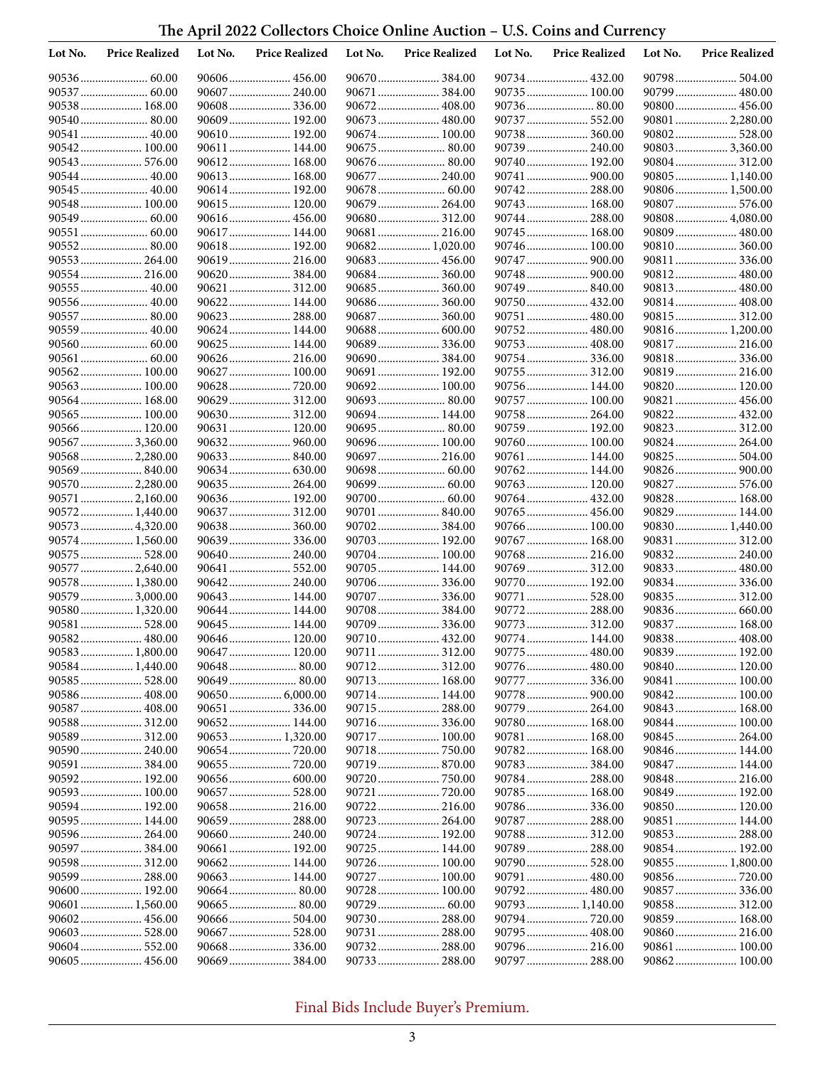# **The April 2022 Collectors Choice Online Auction – U.S. Coins and Currency**

| Lot No. | <b>Price Realized</b>            | Lot No. | <b>Price Realized</b>        | Lot No. | <b>Price Realized</b>        | Lot No. | <b>Price Realized</b>         | Lot No. | <b>Price Realized</b>           |
|---------|----------------------------------|---------|------------------------------|---------|------------------------------|---------|-------------------------------|---------|---------------------------------|
|         |                                  |         | 90606 456.00                 |         |                              |         |                               |         | 90798 504.00                    |
|         | 90537  60.00                     |         | 90607 240.00                 |         | 90671  384.00                |         | 90735 100.00                  |         | 90799 480.00                    |
|         | 90538 168.00                     |         | 90608336.00                  |         | 90672 408.00                 |         |                               |         |                                 |
|         | 90540 80.00                      |         | 90609 192.00                 |         |                              |         | 90737  552.00                 |         | 90801  2,280.00                 |
|         | 90541  40.00                     |         | 90610 192.00                 |         |                              |         |                               |         | 90802 528.00                    |
|         | 90542 100.00                     |         | 90611 144.00                 |         | 90675  80.00                 |         |                               |         | 90803  3,360.00                 |
|         |                                  |         | 90612 168.00                 |         | 90676 80.00                  |         | 90740 192.00                  |         |                                 |
|         | 90544  40.00<br>90545  40.00     |         | 90613 168.00                 |         | 90677  240.00                |         | 90741  900.00                 |         | 90805  1,140.00                 |
|         | 90548 100.00                     |         | 90614 192.00<br>90615 120.00 |         | 90679  264.00                |         | 90743  168.00                 |         | 90806 1,500.00<br>90807  576.00 |
|         |                                  |         |                              |         |                              |         |                               |         | 90808  4,080.00                 |
|         | 90551  60.00                     |         | 90617 144.00                 |         | 90681  216.00                |         | 90745  168.00                 |         | 90809  480.00                   |
|         | 90552 80.00                      |         | 90618 192.00                 |         | 90682 1,020.00               |         | 90746 100.00                  |         | 90810 360.00                    |
|         | 90553 264.00                     |         | 90619 216.00                 |         | 90683 456.00                 |         |                               |         | 90811  336.00                   |
|         | 90554 216.00                     |         | 90620 384.00                 |         |                              |         |                               |         |                                 |
|         | 90555  40.00                     |         | 90621 312.00                 |         | 90685  360.00                |         | 90749  840.00                 |         | 90813 480.00                    |
|         | 90556 40.00                      |         | 90622 144.00                 |         | 90686 360.00                 |         | 90750 432.00                  |         | 90814 408.00                    |
|         | 90557  80.00                     |         | 90623 288.00                 |         | 90687  360.00                |         | 90751  480.00                 |         | 90815 312.00                    |
|         |                                  |         | 90624 144.00                 |         |                              |         | 90752 480.00                  |         | 90816 1,200.00                  |
|         |                                  |         | 90625 144.00                 |         |                              |         |                               |         |                                 |
|         |                                  |         | 90626 216.00                 |         | 90690 384.00                 |         |                               |         | 90818 336.00                    |
|         | 90562 100.00                     |         | 90627 100.00                 |         | 90691  192.00                |         |                               |         |                                 |
|         | 90563 100.00                     |         |                              |         | 90692 100.00                 |         | 90756 144.00                  |         | 90820 120.00                    |
|         | 90564 168.00                     |         | 90629 312.00                 |         |                              |         | 90757  100.00                 |         |                                 |
|         | 90565 100.00                     |         | 90630 312.00                 |         | 90694 144.00                 |         | 90758 264.00                  |         | 90822 432.00                    |
|         | 90566 120.00<br>90567  3,360.00  |         | 90631 120.00<br>90632 960.00 |         | 90696 100.00                 |         | 90759 192.00<br>90760 100.00  |         | 90824  264.00                   |
|         | 90568 2,280.00                   |         | 90633 840.00                 |         | 90697  216.00                |         | 90761  144.00                 |         | 90825  504.00                   |
|         | 90569  840.00                    |         |                              |         |                              |         | 90762 144.00                  |         |                                 |
|         | 90570  2,280.00                  |         | 90635 264.00                 |         |                              |         | 90763 120.00                  |         |                                 |
|         | 90571  2,160.00                  |         | 90636 192.00                 |         |                              |         | 90764 432.00                  |         | 90828  168.00                   |
|         | 90572 1,440.00                   |         | 90637 312.00                 |         | 90701  840.00                |         | 90765  456.00                 |         | 90829  144.00                   |
|         | 90573  4,320.00                  |         | 90638 360.00                 |         |                              |         | 90766  100.00                 |         | 90830 1,440.00                  |
|         | 90574 1,560.00                   |         | 90639 336.00                 |         | 90703 192.00                 |         | 90767  168.00                 |         | 90831  312.00                   |
|         | 90575  528.00                    |         | 90640 240.00                 |         | 90704 100.00                 |         |                               |         | 90832 240.00                    |
|         | 90577  2,640.00                  |         | 90641  552.00                |         | 90705 144.00                 |         | 90769  312.00                 |         | 90833 480.00                    |
|         | 90578  1,380.00                  |         | 90642 240.00                 |         |                              |         | 90770 192.00                  |         |                                 |
|         | 90579  3,000.00                  |         | 90643 144.00                 |         | 90707  336.00                |         | 90771  528.00                 |         |                                 |
|         | 90580 1,320.00                   |         | 90644 144.00                 |         |                              |         |                               |         | 90836 660.00                    |
|         | 90581  528.00                    |         | 90645 144.00<br>90646 120.00 |         | 90709  336.00                |         | 90774  144.00                 |         | 90837 168.00                    |
|         | 90582 480.00                     |         |                              |         | 90710 432.00                 |         |                               |         | 90838 408.00<br>90839 192.00    |
|         | 90583 1,800.00<br>90584 1,440.00 |         |                              |         |                              |         | 90775  480.00                 |         | 90840 120.00                    |
|         |                                  |         | 90649 80.00                  |         | 90713 168.00                 |         | 90777  336.00                 |         | 90841  100.00                   |
|         | 90586 408.00                     |         | 90650 6,000.00               |         | 90714 144.00                 |         | 90778  900.00                 |         | 90842 100.00                    |
|         | 90587  408.00                    |         |                              |         |                              |         | 90779  264.00                 |         | 90843  168.00                   |
|         |                                  |         | 90652 144.00                 |         |                              |         | 90780 168.00                  |         | 90844 100.00                    |
|         | 90589 312.00                     |         | 90653 1,320.00               |         | 90717 100.00                 |         | 90781  168.00                 |         | 90845  264.00                   |
|         | 90590 240.00                     |         |                              |         | 90718750.00                  |         | 90782 168.00                  |         | 90846 144.00                    |
|         | 90591  384.00                    |         |                              |         |                              |         | 90783  384.00                 |         | 90847 144.00                    |
|         | 90592 192.00                     |         |                              |         |                              |         |                               |         |                                 |
|         | 90593  100.00                    |         |                              |         |                              |         | 90785  168.00                 |         | 90849  192.00                   |
|         | 90594 192.00                     |         |                              |         |                              |         | 90786336.00                   |         | 90850 120.00                    |
|         | 90595 144.00                     |         |                              |         |                              |         |                               |         | 90851  144.00                   |
|         | 90596 264.00                     |         |                              |         | 90724 192.00                 |         | 90788 312.00                  |         | 90853 288.00                    |
|         | 90597  384.00                    |         | 90661  192.00                |         | 90725 144.00                 |         | 90789  288.00                 |         | 90854 192.00                    |
|         | 90598 312.00<br>90599  288.00    |         | 90662 144.00                 |         | 90726 100.00<br>90727 100.00 |         | 90790 528.00<br>90791  480.00 |         | 90855  1,800.00                 |
|         | 90600 192.00                     |         |                              |         | 90728  100.00                |         | 90792 480.00                  |         | 90857  336.00                   |
|         | 90601  1,560.00                  |         |                              |         |                              |         | 90793  1,140.00               |         | 90858 312.00                    |
|         | 90602 456.00                     |         |                              |         |                              |         | 90794  720.00                 |         | 90859  168.00                   |
|         | 90603 528.00                     |         | 90667 528.00                 |         | 90731  288.00                |         | 90795  408.00                 |         |                                 |
|         |                                  |         |                              |         |                              |         | 90796 216.00                  |         | 90861  100.00                   |
|         | 90605 456.00                     |         |                              |         | 90733  288.00                |         | 90797  288.00                 |         | 90862 100.00                    |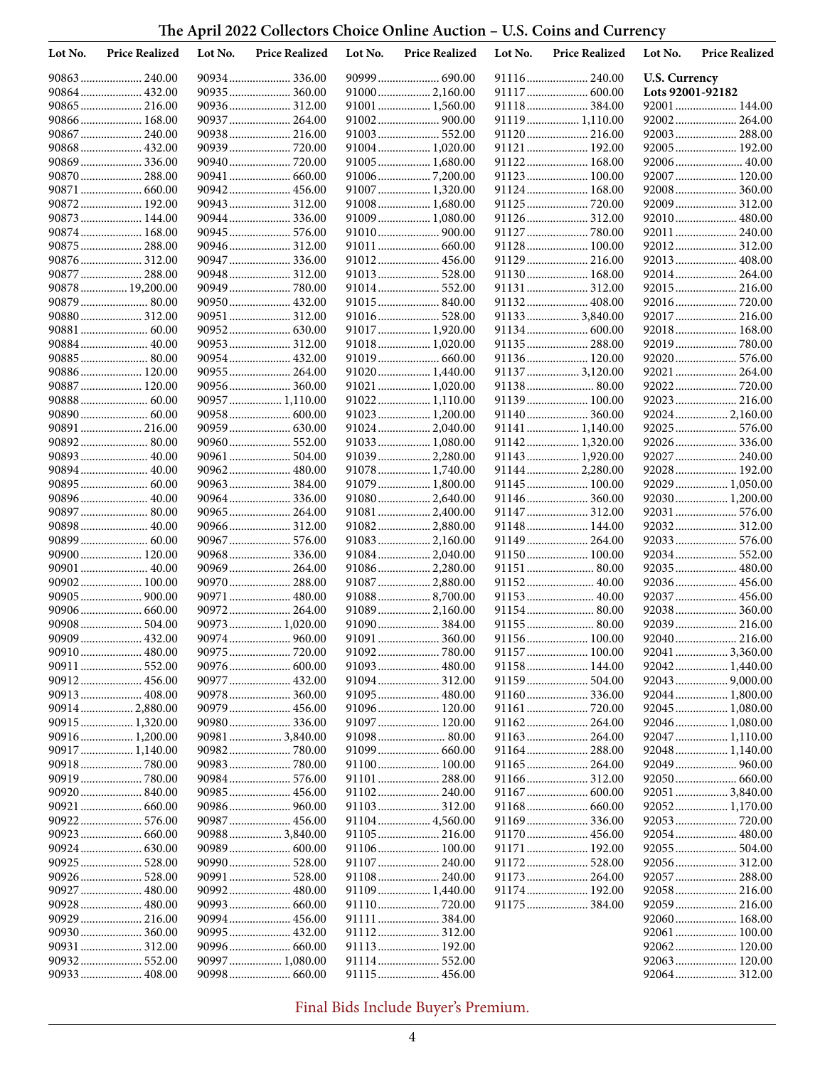# **The April 2022 Collectors Choice Online Auction – U.S. Coins and Currency**

| Lot No. | <b>Price Realized</b>             | Lot No. | <b>Price Realized</b>         | Lot No. | <b>Price Realized</b>             | Lot No. | <b>Price Realized</b>          | Lot No.              | <b>Price Realized</b>             |
|---------|-----------------------------------|---------|-------------------------------|---------|-----------------------------------|---------|--------------------------------|----------------------|-----------------------------------|
|         |                                   |         | 90934336.00                   |         |                                   |         |                                | <b>U.S. Currency</b> |                                   |
|         | 90864  432.00                     |         | 90935 360.00                  |         | 91000 2,160.00                    |         | 91117  600.00                  | Lots 92001-92182     |                                   |
|         | 90865  216.00                     |         | 90936 312.00                  |         | 91001  1,560.00                   |         | 91118 384.00                   |                      |                                   |
|         | 90866  168.00                     |         | 90937 264.00                  |         | 91002 900.00                      |         | 91119 1,110.00                 |                      | 92002 264.00                      |
|         |                                   |         | 90938 216.00                  |         |                                   |         | 91120 216.00                   |                      | 92003 288.00                      |
|         | 90868 432.00                      |         |                               |         | 91004 1,020.00                    |         | 91121  192.00                  |                      | 92005 192.00                      |
|         |                                   |         |                               |         | 91005 1,680.00                    |         | 91122 168.00                   |                      |                                   |
|         | 90870  288.00<br>90871  660.00    |         | 90941  660.00<br>90942 456.00 |         | 910067,200.00<br>91007  1,320.00  |         | 91123 100.00<br>91124  168.00  |                      | 92007  120.00<br>92008 360.00     |
|         | 90872 192.00                      |         | 90943 312.00                  |         | 91008 1,680.00                    |         | 91125  720.00                  |                      | 92009 312.00                      |
|         | 90873 144.00                      |         | 90944 336.00                  |         | 91009  1,080.00                   |         | 91126 312.00                   |                      | 92010 480.00                      |
|         | 90874 168.00                      |         | 90945 576.00                  |         | 91010 900.00                      |         | 91127  780.00                  |                      | 92011  240.00                     |
|         | 90875  288.00                     |         | 90946 312.00                  |         |                                   |         | 91128 100.00                   |                      | 92012 312.00                      |
|         | 90876 312.00                      |         | 90947  336.00                 |         | 91012 456.00                      |         | 91129 216.00                   |                      | 92013 408.00                      |
|         | 90877  288.00                     |         | 90948 312.00                  |         | 91013 528.00                      |         | 91130 168.00                   |                      | 92014 264.00                      |
|         | 90878  19,200.00                  |         |                               |         |                                   |         |                                |                      | 92015 216.00                      |
|         | 90879  80.00                      |         | 90950 432.00                  |         | 91015 840.00                      |         | 91132 408.00                   |                      | 92016 720.00                      |
|         | 90880 312.00                      |         | 90951  312.00                 |         |                                   |         | 91133 3,840.00                 |                      |                                   |
|         |                                   |         |                               |         | 91017  1,920.00                   |         |                                |                      | 92018 168.00                      |
|         | 90884 40.00                       |         | 90953 312.00                  |         | 91018 1,020.00                    |         | 91135 288.00                   |                      |                                   |
|         | 90885 80.00<br>90886 120.00       |         | 90954 432.00                  |         |                                   |         | 91136 120.00                   |                      | 92020 576.00                      |
|         | 90887  120.00                     |         | 90955 264.00                  |         | 91020 1,440.00<br>91021  1,020.00 |         | 91137  3,120.00<br>91138 80.00 |                      | 92021  264.00                     |
|         |                                   |         | 90957 1,110.00                |         | 91022 1,110.00                    |         | 91139 100.00                   |                      | 92023 216.00                      |
|         |                                   |         | 90958 600.00                  |         | 91023  1,200.00                   |         | 91140 360.00                   |                      | 92024  2,160.00                   |
| 90891   |                                   |         |                               |         | 91024  2,040.00                   |         | 91141  1,140.00                |                      | 92025 576.00                      |
|         | 90892 80.00                       |         | 90960 552.00                  |         | 91033 1,080.00                    |         | 91142 1,320.00                 |                      |                                   |
|         | 90893 40.00                       |         | 90961  504.00                 |         | 91039 2,280.00                    |         | 91143  1,920.00                |                      | 92027  240.00                     |
|         | 90894 40.00                       |         | 90962 480.00                  |         | 91078 1,740.00                    |         | 91144  2,280.00                |                      | 92028 192.00                      |
|         | 90895 60.00                       |         | 90963384.00                   |         | 91079  1,800.00                   |         | 91145  100.00                  |                      | 92029  1,050.00                   |
|         | 90896 40.00                       |         | 90964 336.00                  |         | 91080 2,640.00                    |         |                                |                      | 92030 1,200.00                    |
|         | 90897  80.00                      |         | 90965 264.00                  |         | 91081  2,400.00                   |         | 91147  312.00                  |                      | 92031  576.00                     |
|         | 90898 40.00                       |         | 90966 312.00                  |         | 91082 2,880.00                    |         | 91148 144.00                   |                      |                                   |
|         | 90899  60.00<br>90900 120.00      |         | 90967 576.00<br>90968 336.00  |         | 91083 2,160.00                    |         | 91149 264.00                   |                      | 92033 576.00                      |
|         | 90901  40.00                      |         | 90969 264.00                  |         | 91084 2,040.00<br>91086 2,280.00  |         | 91150 100.00<br>91151  80.00   |                      | 92034 552.00<br>92035  480.00     |
|         | 90902 100.00                      |         | 90970 288.00                  |         | 91087 2,880.00                    |         |                                |                      |                                   |
|         | 90905  900.00                     |         | 90971  480.00                 |         | 910888,700.00                     |         |                                |                      | 92037  456.00                     |
|         |                                   |         | 90972 264.00                  |         | 91089 2,160.00                    |         |                                |                      | 92038 360.00                      |
|         | 90908 504.00                      |         | 90973 1,020.00                |         | 91090 384.00                      |         | 91155 80.00                    |                      | 92039 216.00                      |
|         |                                   |         | 90974 960.00                  |         |                                   |         | 91156 100.00                   |                      | 92040 216.00                      |
|         | 90910 480.00                      |         |                               |         | 91092780.00                       |         | 91157 100.00                   |                      | 92041  3,360.00                   |
|         | 90911 552.00                      |         |                               |         | 91093 480.00                      |         | 91158 144.00                   |                      | 92042 1,440.00                    |
|         | 90912 456.00                      |         | 90977 432.00                  |         |                                   |         | 91159 504.00                   |                      | 92043  9,000.00                   |
|         | 90913 408.00                      |         |                               |         |                                   |         |                                |                      | 92044  1,800.00                   |
|         | 90914 2,880.00                    |         |                               |         | 91096 120.00                      |         | 91161  720.00                  |                      | 92045  1,080.00                   |
|         | 90915 1,320.00                    |         | 90980 336.00                  |         | 91097 120.00                      |         | 91162 264.00                   |                      | 92046 1,080.00                    |
|         | 90916 1,200.00<br>90917  1,140.00 |         | 90981  3,840.00               |         | 91099  660.00                     |         | 91163 264.00                   |                      | 92047  1,110.00<br>92048 1,140.00 |
|         |                                   |         |                               |         | 91100 100.00                      |         |                                |                      | 92049  960.00                     |
|         |                                   |         |                               |         |                                   |         |                                |                      |                                   |
|         | 90920 840.00                      |         |                               |         |                                   |         |                                |                      | 92051  3,840.00                   |
|         | 90921  660.00                     |         |                               |         | 91103 312.00                      |         |                                |                      | 92052 1,170.00                    |
|         |                                   |         | 90987 456.00                  |         | 91104 4,560.00                    |         |                                |                      |                                   |
|         |                                   |         | 90988 3,840.00                |         |                                   |         |                                |                      | 92054 480.00                      |
|         |                                   |         | 90989 600.00                  |         | 91106 100.00                      |         | 91171  192.00                  |                      | 92055 504.00                      |
|         | 90925 528.00                      |         | 90990 528.00                  |         |                                   |         | 91172 528.00                   |                      | 92056 312.00                      |
|         | 90926 528.00                      |         | 90991  528.00                 |         | 91108 240.00                      |         | 91173 264.00                   |                      | 92057  288.00                     |
|         | 90927  480.00                     |         | 90992 480.00                  |         | 91109 1,440.00                    |         | 91174 192.00                   |                      | 92058 216.00                      |
|         | 90928  480.00                     |         |                               |         |                                   |         | 91175  384.00                  |                      | 92059 216.00<br>92060 168.00      |
|         |                                   |         | 90995 432.00                  |         | 91111  384.00                     |         |                                |                      | 92061  100.00                     |
|         | 90931  312.00                     |         | 90996 660.00                  |         | 91113 192.00                      |         |                                |                      | 92062 120.00                      |
|         |                                   |         | 90997  1,080.00               |         | 91114 552.00                      |         |                                |                      | 92063 120.00                      |
|         |                                   |         |                               |         |                                   |         |                                |                      |                                   |
|         |                                   |         |                               |         |                                   |         |                                |                      |                                   |